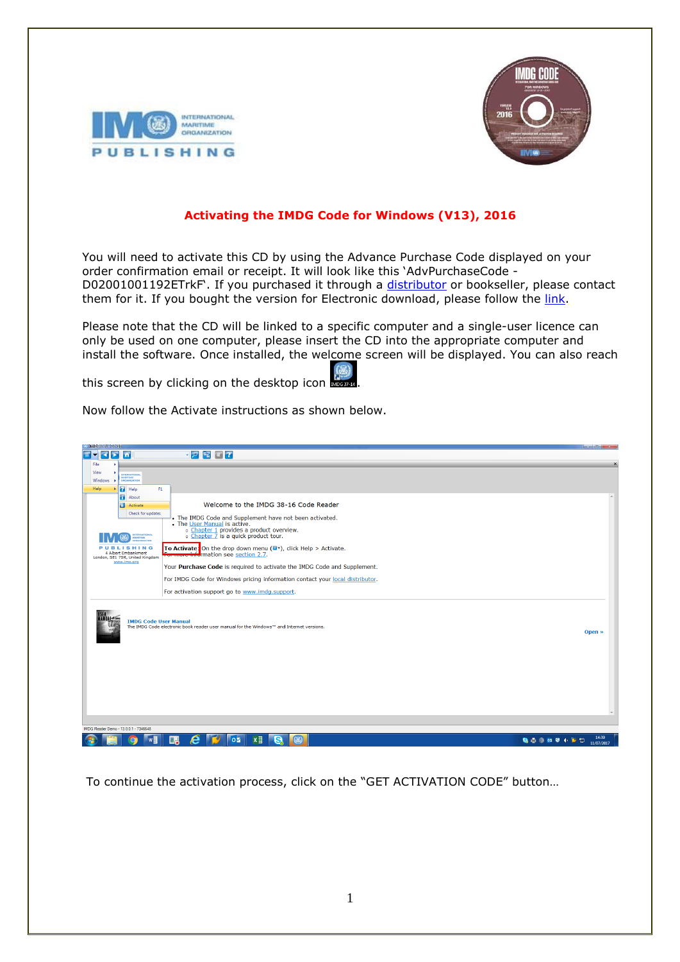



## **Activating the IMDG Code for Windows (V13), 2016**

You will need to activate this CD by using the Advance Purchase Code displayed on your order confirmation email or receipt. It will look like this 'AdvPurchaseCode - D02001001192ETrkF'. If you purchased it through a [distributor](http://www.imo.org/Publications/Distributors/Pages/default.aspx) or bookseller, please contact them for it. If you bought the version for Electronic download, please follow the [link.](http://www.imoactivate.com/download.asp)

Please note that the CD will be linked to a specific computer and a single-user licence can only be used on one computer, please insert the CD into the appropriate computer and install the software. Once installed, the welcome screen will be displayed. You can also reach

this screen by clicking on the desktop icon

Now follow the Activate instructions as shown below.

| TRAINER (PODICE SUS -109)                                                                                                                                         |                           |
|-------------------------------------------------------------------------------------------------------------------------------------------------------------------|---------------------------|
| ・2階で?<br>Ξ<br>k<br>Б<br>lπ<br>$\blacksquare$                                                                                                                      |                           |
| File                                                                                                                                                              | $\boldsymbol{\mathsf{x}}$ |
| View<br>INTERNATIONAL                                                                                                                                             |                           |
| MARITIME<br>Windows<br>ORGANIZATION                                                                                                                               |                           |
| Help<br><b>F</b> Help<br>F1                                                                                                                                       |                           |
| About                                                                                                                                                             |                           |
| Welcome to the IMDG 38-16 Code Reader<br><b>Activate</b>                                                                                                          |                           |
| Check for updates<br>. The IMDG Code and Supplement have not been activated.                                                                                      |                           |
| • The User Manual is active.                                                                                                                                      |                           |
| o Chapter 1 provides a product overview.<br>o Chapter 7 is a quick product tour.<br><b>ITERNATIONAL</b>                                                           |                           |
| MARITIME<br><b>MARZATION</b>                                                                                                                                      |                           |
| To Activate: On the drop down menu $(\blacksquare^*)$ , click Help > Activate.<br><b>SHING</b><br>4 Albert Embankment<br><b>ere info</b> rmation see section 2.7. |                           |
| London, SE1 7SR, United Kingdom<br>www.imo.org                                                                                                                    |                           |
| Your Purchase Code is required to activate the IMDG Code and Supplement.                                                                                          |                           |
| For IMDG Code for Windows pricing information contact your local distributor.                                                                                     |                           |
| For activation support go to www.imdg.support.                                                                                                                    |                           |
| <b>IMDG Code User Manual</b><br>The IMDG Code electronic book reader user manual for the Windows™ and Internet versions.                                          | Open »                    |
| IMDG Reader Demo - 13.0.0.1 - 7346648                                                                                                                             |                           |
|                                                                                                                                                                   | 14:39                     |
| $w \equiv$<br>в<br>$x \equiv$<br>e<br>$0\overline{2}$<br>G<br>(云)<br>9 点 今 02 日 中 下 口<br>∩                                                                        | 11/07/2017                |

To continue the activation process, click on the "GET ACTIVATION CODE" button…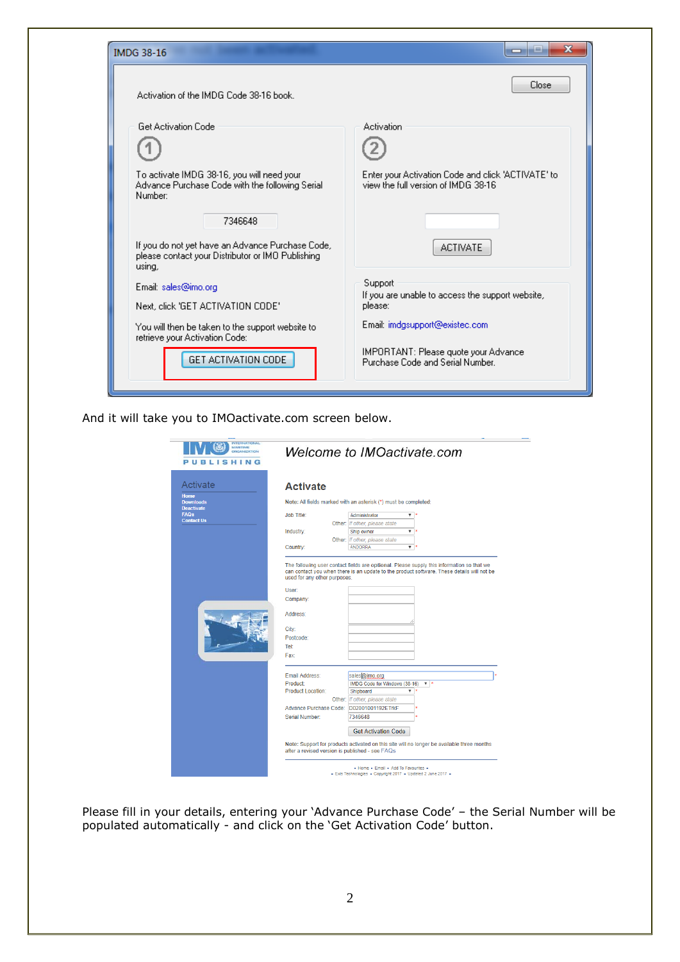| Activation of the IMDG Code 38-16 book.                                                                         | Close                                                                                     |
|-----------------------------------------------------------------------------------------------------------------|-------------------------------------------------------------------------------------------|
| <b>Get Activation Code</b>                                                                                      | Activation                                                                                |
|                                                                                                                 |                                                                                           |
| To activate IMDG 38-16, you will need your<br>Advance Purchase Code with the following Serial<br>Number:        | Enter your Activation Code and click 'ACTIVATE' to<br>view the full version of IMDG 38-16 |
| 7346648                                                                                                         |                                                                                           |
| If you do not yet have an Advance Purchase Code,<br>please contact your Distributor or IMO Publishing<br>using, | <b>ACTIVATE</b>                                                                           |
| Email: sales@imo.org                                                                                            | Support                                                                                   |
| Next, click 'GET ACTIVATION CODE'                                                                               | If you are unable to access the support website,<br>please:                               |
| You will then be taken to the support website to<br>retrieve your Activation Code:                              | Email: imdgsupport@existec.com                                                            |
| GET ACTIVATION CODE                                                                                             | IMPORTANT: Please quote your Advance<br>Purchase Code and Serial Number.                  |

And it will take you to IMOactivate.com screen below.

| <b>OBOANIZATION</b><br>LISHING<br>в |                                                 | Welcome to IMOactivate.com                                                                 |
|-------------------------------------|-------------------------------------------------|--------------------------------------------------------------------------------------------|
| Activate                            | <b>Activate</b>                                 |                                                                                            |
| <b>Home</b><br><b>Downloads</b>     |                                                 | Note: All fields marked with an asterisk (*) must be completed:                            |
| <b>Deactivate</b><br><b>FAQs</b>    | <b>Job Title:</b>                               | Administrator<br>۷.                                                                        |
| <b>Contact Us</b>                   |                                                 | Other: If other, please state                                                              |
|                                     | Industry:                                       | Ship owner<br>▼                                                                            |
|                                     |                                                 | Other: If other, please state                                                              |
|                                     | Country:                                        | <b>ANDORRA</b><br>▼                                                                        |
|                                     |                                                 |                                                                                            |
|                                     | User<br>Company:                                |                                                                                            |
|                                     | Address:                                        |                                                                                            |
|                                     |                                                 |                                                                                            |
|                                     | City:                                           |                                                                                            |
|                                     | Postcode:                                       |                                                                                            |
|                                     | Tel:                                            |                                                                                            |
|                                     | Fax:                                            |                                                                                            |
|                                     | Email Address:                                  | sales@imo.org                                                                              |
|                                     | Product:                                        | IMDG Code for Windows (38-16)<br>$\mathbf{v}$ $\mathbf{r}$                                 |
|                                     | <b>Product Location:</b>                        | Shipboard                                                                                  |
|                                     |                                                 | Other: If other, please state                                                              |
|                                     | Advance Purchase Code:                          | D02001001192ETrkF                                                                          |
|                                     | Serial Number:                                  | 7346648                                                                                    |
|                                     |                                                 |                                                                                            |
|                                     |                                                 | <b>Get Activation Code</b>                                                                 |
|                                     | after a revised version is published - see FAQs | Note: Support for products activated on this site will no longer be available three months |

Please fill in your details, entering your 'Advance Purchase Code' – the Serial Number will be populated automatically - and click on the 'Get Activation Code' button.